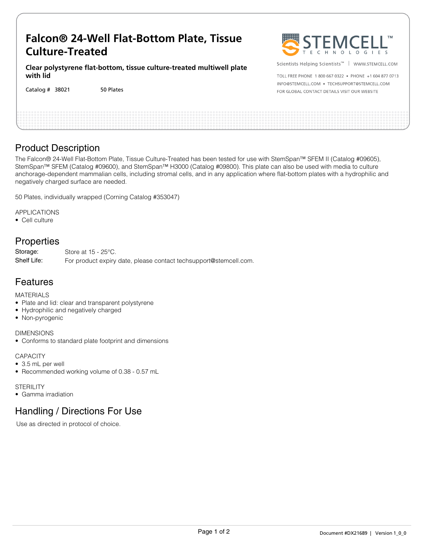# **Falcon® 24-Well Flat-Bottom Plate, Tissue Culture-Treated**

**Clear polystyrene flat-bottom, tissue culture-treated multiwell plate with lid**

50 Plates Catalog #



Scientists Helping Scientists™ | WWW.STEMCELL.COM

TOLL EREE PHONE 1 800 667 0322 · PHONE +1 604 877 0713 INFO@STEMCELL.COM . TECHSUPPORT@STEMCELL.COM FOR GLOBAL CONTACT DETAILS VISIT OUR WEBSITE

### Product Description

The Falcon® 24-Well Flat-Bottom Plate, Tissue Culture-Treated has been tested for use with StemSpan™ SFEM II (Catalog #09605), StemSpan™ SFEM (Catalog #09600), and StemSpan™ H3000 (Catalog #09800). This plate can also be used with media to culture anchorage-dependent mammalian cells, including stromal cells, and in any application where flat-bottom plates with a hydrophilic and negatively charged surface are needed.

50 Plates, individually wrapped (Corning Catalog #353047)

APPLICATIONS

• Cell culture

## **Properties**

Store at 15 - 25°C. For product expiry date, please contact techsupport@stemcell.com. Storage: Shelf Life:

### Features

MATERIALS

- Plate and lid: clear and transparent polystyrene
- Hydrophilic and negatively charged
- Non-pyrogenic

DIMENSIONS

• Conforms to standard plate footprint and dimensions

**CAPACITY** 

- 3.5 mL per well
- Recommended working volume of 0.38 0.57 mL

#### **STERILITY**

• Gamma irradiation

## Handling / Directions For Use

Use as directed in protocol of choice.